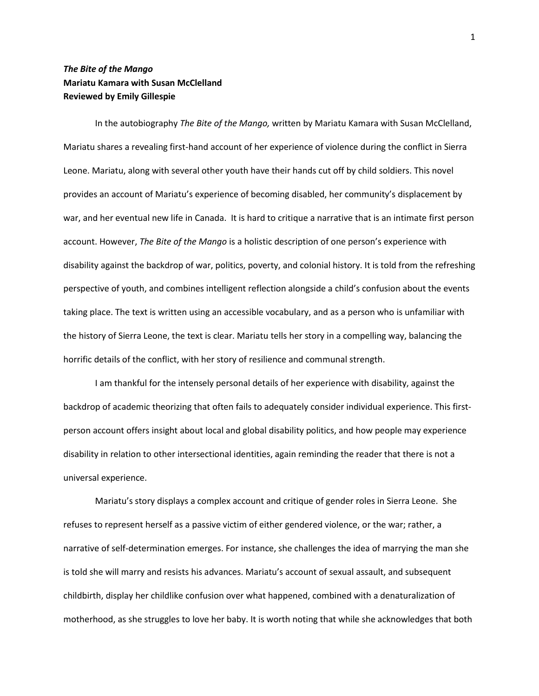## *The Bite of the Mango* **Mariatu Kamara with Susan McClelland Reviewed by Emily Gillespie**

In the autobiography *The Bite of the Mango,* written by Mariatu Kamara with Susan McClelland, Mariatu shares a revealing first-hand account of her experience of violence during the conflict in Sierra Leone. Mariatu, along with several other youth have their hands cut off by child soldiers. This novel provides an account of Mariatu's experience of becoming disabled, her community's displacement by war, and her eventual new life in Canada. It is hard to critique a narrative that is an intimate first person account. However, *The Bite of the Mango* is a holistic description of one person's experience with disability against the backdrop of war, politics, poverty, and colonial history. It is told from the refreshing perspective of youth, and combines intelligent reflection alongside a child's confusion about the events taking place. The text is written using an accessible vocabulary, and as a person who is unfamiliar with the history of Sierra Leone, the text is clear. Mariatu tells her story in a compelling way, balancing the horrific details of the conflict, with her story of resilience and communal strength.

I am thankful for the intensely personal details of her experience with disability, against the backdrop of academic theorizing that often fails to adequately consider individual experience. This firstperson account offers insight about local and global disability politics, and how people may experience disability in relation to other intersectional identities, again reminding the reader that there is not a universal experience.

Mariatu's story displays a complex account and critique of gender roles in Sierra Leone. She refuses to represent herself as a passive victim of either gendered violence, or the war; rather, a narrative of self-determination emerges. For instance, she challenges the idea of marrying the man she is told she will marry and resists his advances. Mariatu's account of sexual assault, and subsequent childbirth, display her childlike confusion over what happened, combined with a denaturalization of motherhood, as she struggles to love her baby. It is worth noting that while she acknowledges that both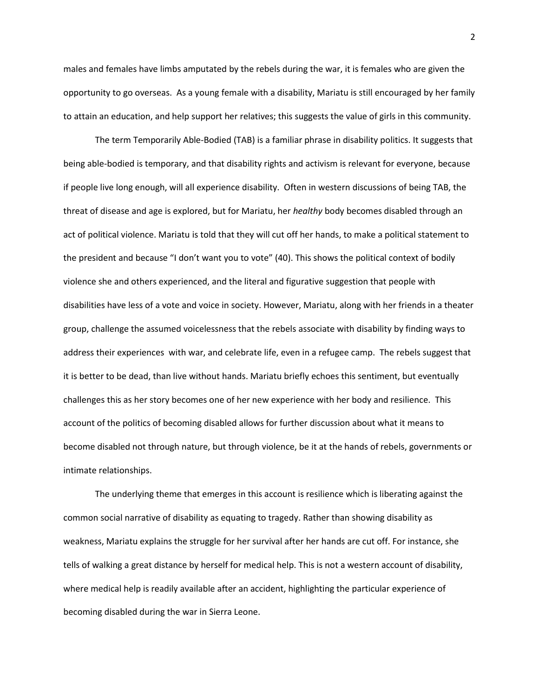males and females have limbs amputated by the rebels during the war, it is females who are given the opportunity to go overseas. As a young female with a disability, Mariatu is still encouraged by her family to attain an education, and help support her relatives; this suggests the value of girls in this community.

The term Temporarily Able-Bodied (TAB) is a familiar phrase in disability politics. It suggests that being able-bodied is temporary, and that disability rights and activism is relevant for everyone, because if people live long enough, will all experience disability. Often in western discussions of being TAB, the threat of disease and age is explored, but for Mariatu, her *healthy* body becomes disabled through an act of political violence. Mariatu is told that they will cut off her hands, to make a political statement to the president and because "I don't want you to vote" (40). This shows the political context of bodily violence she and others experienced, and the literal and figurative suggestion that people with disabilities have less of a vote and voice in society. However, Mariatu, along with her friends in a theater group, challenge the assumed voicelessness that the rebels associate with disability by finding ways to address their experiences with war, and celebrate life, even in a refugee camp. The rebels suggest that it is better to be dead, than live without hands. Mariatu briefly echoes this sentiment, but eventually challenges this as her story becomes one of her new experience with her body and resilience. This account of the politics of becoming disabled allows for further discussion about what it means to become disabled not through nature, but through violence, be it at the hands of rebels, governments or intimate relationships.

The underlying theme that emerges in this account is resilience which is liberating against the common social narrative of disability as equating to tragedy. Rather than showing disability as weakness, Mariatu explains the struggle for her survival after her hands are cut off. For instance, she tells of walking a great distance by herself for medical help. This is not a western account of disability, where medical help is readily available after an accident, highlighting the particular experience of becoming disabled during the war in Sierra Leone.